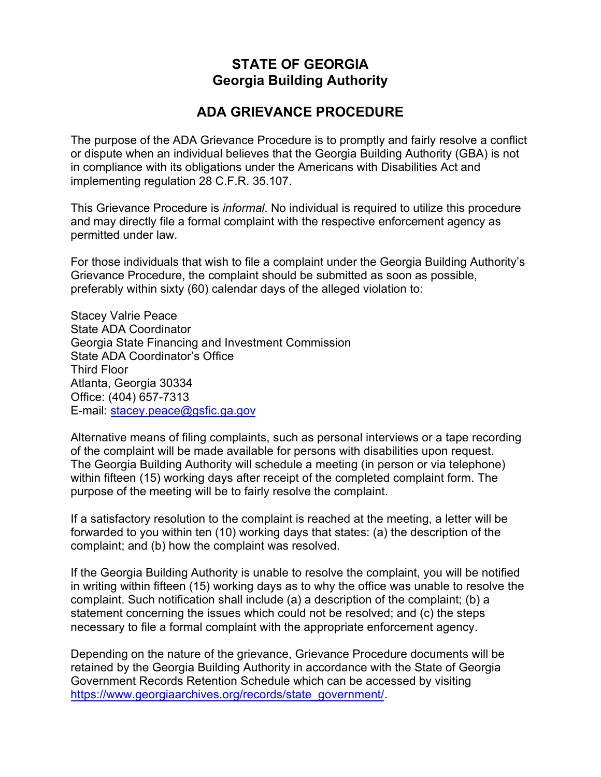## **STATE OF GEORGIA Georgia Building Authority**

## **ADA GRIEVANCE PROCEDURE**

The purpose of the ADA Grievance Procedure is to promptly and fairly resolve a conflict or dispute when an individual believes that the Georgia Building Authority (GBA) is not in compliance with its obligations under the Americans with Disabilities Act and implementing regulation 28 C.F.R. 35.107.

 and may directly file a formal complaint with the respective enforcement agency as permitted under law. This Grievance Procedure is *informal*. No individual is required to utilize this procedure

 preferably within sixty (60) calendar days of the alleged violation to: For those individuals that wish to file a complaint under the Georgia Building Authority's Grievance Procedure, the complaint should be submitted as soon as possible,

 Atlanta, Georgia 30334 Office: (404) 657-7313 E-mail: <u>[stacey.peace@gsfic](mailto:stacey.peace@gsfic.ga.gov).ga.gov</u> Stacey Valrie Peace State ADA Coordinator Georgia State Financing and Investment Commission State ADA Coordinator's Office Third Floor

Alternative means of filing complaints, such as personal interviews or a tape recording of the complaint will be made available for persons with disabilities upon request. The Georgia Building Authority will schedule a meeting (in person or via telephone) within fifteen (15) working days after receipt of the completed complaint form. The purpose of the meeting will be to fairly resolve the complaint.

If a satisfactory resolution to the complaint is reached at the meeting, a letter will be forwarded to you within ten (10) working days that states: (a) the description of the complaint; and (b) how the complaint was resolved.

If the Georgia Building Authority is unable to resolve the complaint, you will be notified in writing within fifteen (15) working days as to why the office was unable to resolve the complaint. Such notification shall include (a) a description of the complaint; (b) a statement concerning the issues which could not be resolved; and (c) the steps necessary to file a formal complaint with the appropriate enforcement agency.

Depending on the nature of the grievance, Grievance Procedure documents will be retained by the Georgia Building Authority in accordance with the State of Georgia Government Records Retention Schedule which can be accessed by visiting [https://www.georgiaarchives.org/records/state\\_government](https://www.georgiaarchives.org/records/state_government)[/](https://www.georgiaarchives.org/records/state_government/).